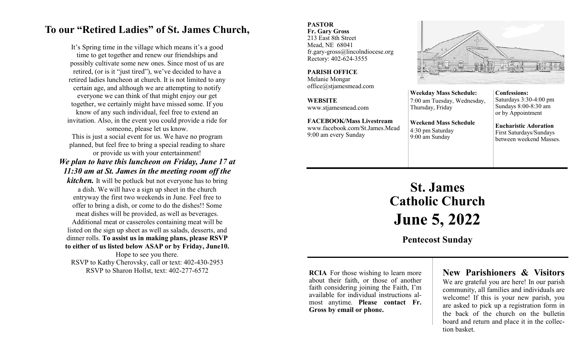# **To our "Retired Ladies" of St. James Church,**

It's Spring time in the village which means it's a good time to get together and renew our friendships and possibly cultivate some new ones. Since most of us are retired, (or is it "just tired"), we've decided to have a retired ladies luncheon at church. It is not limited to any certain age, and although we are attempting to notify everyone we can think of that might enjoy our get together, we certainly might have missed some. If you know of any such individual, feel free to extend an invitation. Also, in the event you could provide a ride for someone, please let us know.

This is just a social event for us. We have no program planned, but feel free to bring a special reading to share or provide us with your entertainment!

### *We plan to have this luncheon on Friday, June 17 at 11:30 am at St. James in the meeting room off the*

*kitchen.* It will be potluck but not everyone has to bring a dish. We will have a sign up sheet in the church entryway the first two weekends in June. Feel free to offer to bring a dish, or come to do the dishes!! Some meat dishes will be provided, as well as beverages. Additional meat or casseroles containing meat will be listed on the sign up sheet as well as salads, desserts, and dinner rolls. **To assist us in making plans, please RSVP to either of us listed below ASAP or by Friday, June10.** Hope to see you there. RSVP to Kathy Cherovsky, call or text: 402-430-2953

RSVP to Sharon Hollst, text: 402-277-6572

#### **PASTOR Fr. Gary Gross**

213 East 8th Street Mead, NE 68041 fr.gary-gross@lincolndiocese.org Rectory: 402-624-3555

**PARISH OFFICE** Melanie Mongar office@stjamesmead.com

**WEBSITE** www.stjamesmead.com

**FACEBOOK/Mass Livestream** [www.facebook.com/St.James.Mead](https://www.facebook.com/St.James.Mead/) 9:00 am every Sunday



**Weekday Mass Schedule:**  7:00 am Tuesday, Wednesday, Thursday, Friday **Weekend Mass Schedule**

4:30 pm Saturday 9:00 am Sunday

Saturdays 3:30-4:00 pm Sundays 8:00-8:30 am or by Appointment

**Confessions:** 

**Eucharistic Adoration**  First Saturdays/Sundays between weekend Masses.

# **St. James Catholic Church June 5, 2022**

**Pentecost Sunday**

**RCIA** For those wishing to learn more about their faith, or those of another faith considering joining the Faith, I'm available for individual instructions almost anytime. **Please contact Fr. Gross by email or phone.**

## **New Parishioners & Visitors**

We are grateful you are here! In our parish community, all families and individuals are welcome! If this is your new parish, you are asked to pick up a registration form in the back of the church on the bulletin board and return and place it in the collection basket.